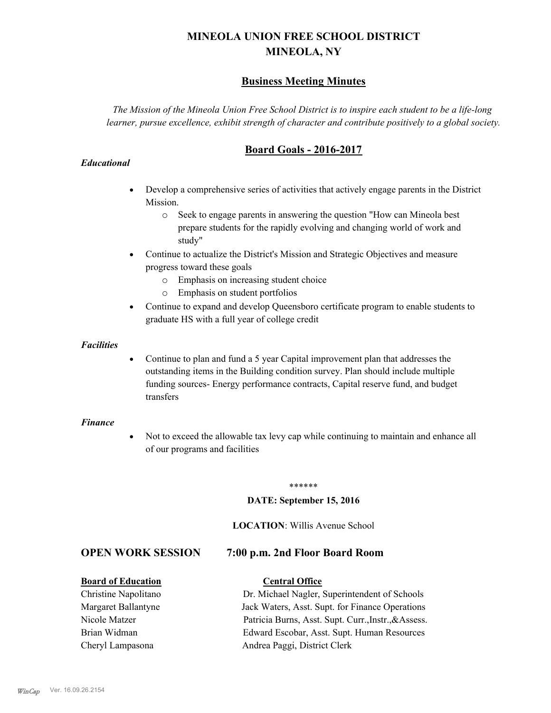# **MINEOLA UNION FREE SCHOOL DISTRICT MINEOLA, NY**

# **Business Meeting Minutes**

*The Mission of the Mineola Union Free School District is to inspire each student to be a life-long learner, pursue excellence, exhibit strength of character and contribute positively to a global society.*

# **Board Goals - 2016-2017**

# *Educational*

- · Develop a comprehensive series of activities that actively engage parents in the District Mission.
	- o Seek to engage parents in answering the question "How can Mineola best prepare students for the rapidly evolving and changing world of work and study"
- · Continue to actualize the District's Mission and Strategic Objectives and measure progress toward these goals
	- o Emphasis on increasing student choice
	- o Emphasis on student portfolios
- · Continue to expand and develop Queensboro certificate program to enable students to graduate HS with a full year of college credit

### *Facilities*

· Continue to plan and fund a 5 year Capital improvement plan that addresses the outstanding items in the Building condition survey. Plan should include multiple funding sources- Energy performance contracts, Capital reserve fund, and budget transfers

# *Finance*

• Not to exceed the allowable tax levy cap while continuing to maintain and enhance all of our programs and facilities

#### \*\*\*\*\*\*

# **DATE: September 15, 2016**

#### **LOCATION**: Willis Avenue School

# **OPEN WORK SESSION 7:00 p.m. 2nd Floor Board Room**

#### **Board of Education Central Office**

Christine Napolitano Dr. Michael Nagler, Superintendent of Schools Margaret Ballantyne Jack Waters, Asst. Supt. for Finance Operations Nicole Matzer Patricia Burns, Asst. Supt. Curr.,Instr.,&Assess. Brian Widman Edward Escobar, Asst. Supt. Human Resources Cheryl Lampasona Andrea Paggi, District Clerk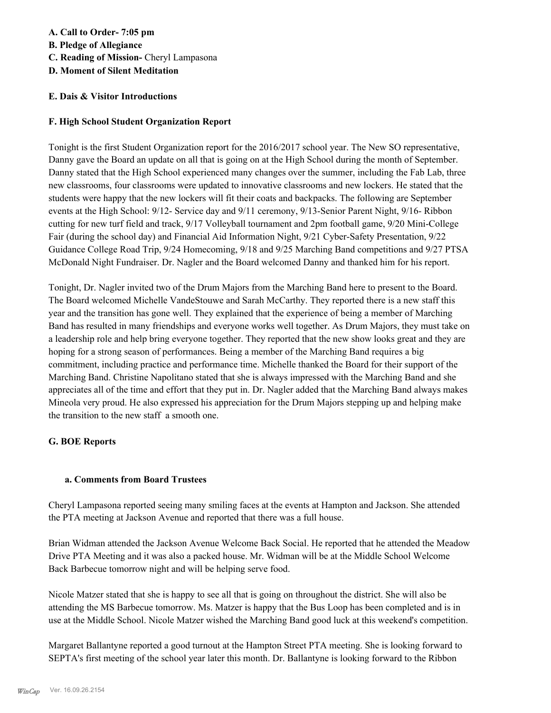# **A. Call to Order- 7:05 pm B. Pledge of Allegiance**

- **C. Reading of Mission-** Cheryl Lampasona
- **D. Moment of Silent Meditation**

# **E. Dais & Visitor Introductions**

# **F. High School Student Organization Report**

Tonight is the first Student Organization report for the 2016/2017 school year. The New SO representative, Danny gave the Board an update on all that is going on at the High School during the month of September. Danny stated that the High School experienced many changes over the summer, including the Fab Lab, three new classrooms, four classrooms were updated to innovative classrooms and new lockers. He stated that the students were happy that the new lockers will fit their coats and backpacks. The following are September events at the High School: 9/12- Service day and 9/11 ceremony, 9/13-Senior Parent Night, 9/16- Ribbon cutting for new turf field and track, 9/17 Volleyball tournament and 2pm football game, 9/20 Mini-College Fair (during the school day) and Financial Aid Information Night, 9/21 Cyber-Safety Presentation, 9/22 Guidance College Road Trip, 9/24 Homecoming, 9/18 and 9/25 Marching Band competitions and 9/27 PTSA McDonald Night Fundraiser. Dr. Nagler and the Board welcomed Danny and thanked him for his report.

Tonight, Dr. Nagler invited two of the Drum Majors from the Marching Band here to present to the Board. The Board welcomed Michelle VandeStouwe and Sarah McCarthy. They reported there is a new staff this year and the transition has gone well. They explained that the experience of being a member of Marching Band has resulted in many friendships and everyone works well together. As Drum Majors, they must take on a leadership role and help bring everyone together. They reported that the new show looks great and they are hoping for a strong season of performances. Being a member of the Marching Band requires a big commitment, including practice and performance time. Michelle thanked the Board for their support of the Marching Band. Christine Napolitano stated that she is always impressed with the Marching Band and she appreciates all of the time and effort that they put in. Dr. Nagler added that the Marching Band always makes Mineola very proud. He also expressed his appreciation for the Drum Majors stepping up and helping make the transition to the new staff a smooth one.

# **G. BOE Reports**

# **a. Comments from Board Trustees**

Cheryl Lampasona reported seeing many smiling faces at the events at Hampton and Jackson. She attended the PTA meeting at Jackson Avenue and reported that there was a full house.

Brian Widman attended the Jackson Avenue Welcome Back Social. He reported that he attended the Meadow Drive PTA Meeting and it was also a packed house. Mr. Widman will be at the Middle School Welcome Back Barbecue tomorrow night and will be helping serve food.

Nicole Matzer stated that she is happy to see all that is going on throughout the district. She will also be attending the MS Barbecue tomorrow. Ms. Matzer is happy that the Bus Loop has been completed and is in use at the Middle School. Nicole Matzer wished the Marching Band good luck at this weekend's competition.

Margaret Ballantyne reported a good turnout at the Hampton Street PTA meeting. She is looking forward to SEPTA's first meeting of the school year later this month. Dr. Ballantyne is looking forward to the Ribbon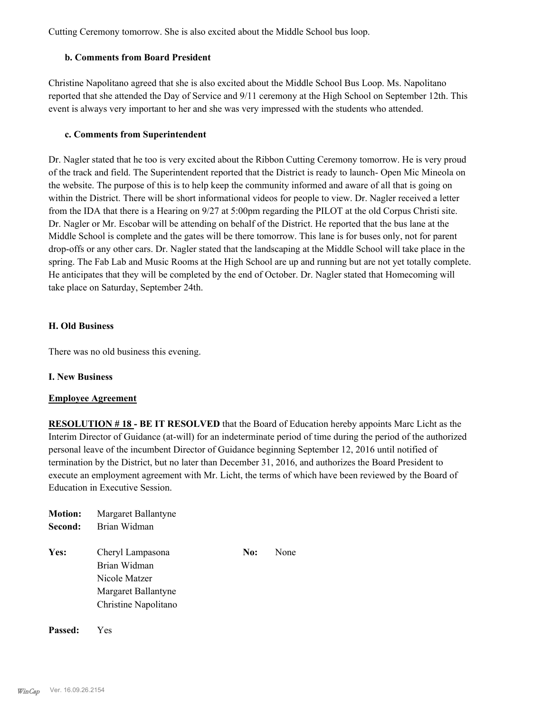Cutting Ceremony tomorrow. She is also excited about the Middle School bus loop.

# **b. Comments from Board President**

Christine Napolitano agreed that she is also excited about the Middle School Bus Loop. Ms. Napolitano reported that she attended the Day of Service and 9/11 ceremony at the High School on September 12th. This event is always very important to her and she was very impressed with the students who attended.

### **c. Comments from Superintendent**

Dr. Nagler stated that he too is very excited about the Ribbon Cutting Ceremony tomorrow. He is very proud of the track and field. The Superintendent reported that the District is ready to launch- Open Mic Mineola on the website. The purpose of this is to help keep the community informed and aware of all that is going on within the District. There will be short informational videos for people to view. Dr. Nagler received a letter from the IDA that there is a Hearing on 9/27 at 5:00pm regarding the PILOT at the old Corpus Christi site. Dr. Nagler or Mr. Escobar will be attending on behalf of the District. He reported that the bus lane at the Middle School is complete and the gates will be there tomorrow. This lane is for buses only, not for parent drop-offs or any other cars. Dr. Nagler stated that the landscaping at the Middle School will take place in the spring. The Fab Lab and Music Rooms at the High School are up and running but are not yet totally complete. He anticipates that they will be completed by the end of October. Dr. Nagler stated that Homecoming will take place on Saturday, September 24th.

# **H. Old Business**

There was no old business this evening.

#### **I. New Business**

#### **Employee Agreement**

**RESOLUTION # 18 - BE IT RESOLVED** that the Board of Education hereby appoints Marc Licht as the Interim Director of Guidance (at-will) for an indeterminate period of time during the period of the authorized personal leave of the incumbent Director of Guidance beginning September 12, 2016 until notified of termination by the District, but no later than December 31, 2016, and authorizes the Board President to execute an employment agreement with Mr. Licht, the terms of which have been reviewed by the Board of Education in Executive Session.

| <b>Motion:</b><br>Second: | Margaret Ballantyne<br>Brian Widman                                                              |     |      |
|---------------------------|--------------------------------------------------------------------------------------------------|-----|------|
| Yes:                      | Cheryl Lampasona<br>Brian Widman<br>Nicole Matzer<br>Margaret Ballantyne<br>Christine Napolitano | No: | None |

**Passed:** Yes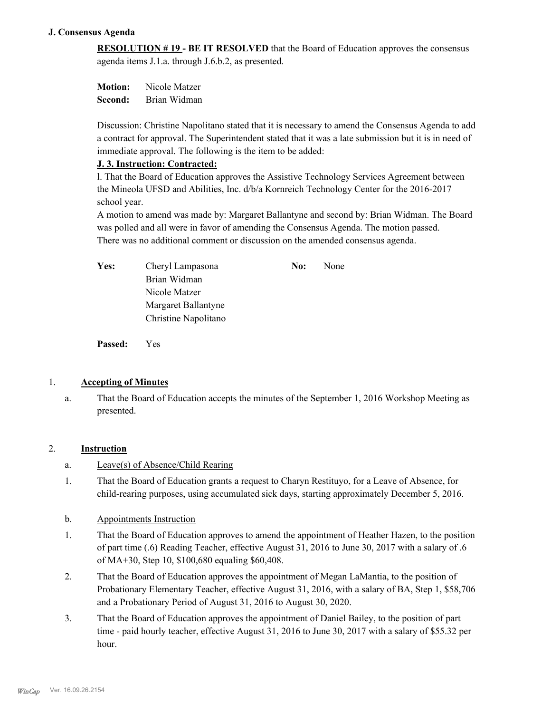# **J. Consensus Agenda**

**RESOLUTION # 19 - BE IT RESOLVED** that the Board of Education approves the consensus agenda items J.1.a. through J.6.b.2, as presented.

**Motion:** Nicole Matzer **Second:** Brian Widman

Discussion: Christine Napolitano stated that it is necessary to amend the Consensus Agenda to add a contract for approval. The Superintendent stated that it was a late submission but it is in need of immediate approval. The following is the item to be added:

# **J. 3. Instruction: Contracted:**

l. That the Board of Education approves the Assistive Technology Services Agreement between the Mineola UFSD and Abilities, Inc. d/b/a Kornreich Technology Center for the 2016-2017 school year.

A motion to amend was made by: Margaret Ballantyne and second by: Brian Widman. The Board was polled and all were in favor of amending the Consensus Agenda. The motion passed. There was no additional comment or discussion on the amended consensus agenda.

| <b>Yes:</b> | Cheryl Lampasona     | No: | <b>None</b> |
|-------------|----------------------|-----|-------------|
|             | Brian Widman         |     |             |
|             | Nicole Matzer        |     |             |
|             | Margaret Ballantyne  |     |             |
|             | Christine Napolitano |     |             |

**Passed:** Yes

# 1. **Accepting of Minutes**

That the Board of Education accepts the minutes of the September 1, 2016 Workshop Meeting as presented. a.

# 2. **Instruction**

- a. Leave(s) of Absence/Child Rearing
- That the Board of Education grants a request to Charyn Restituyo, for a Leave of Absence, for child-rearing purposes, using accumulated sick days, starting approximately December 5, 2016. 1.
- b. Appointments Instruction
- That the Board of Education approves to amend the appointment of Heather Hazen, to the position of part time (.6) Reading Teacher, effective August 31, 2016 to June 30, 2017 with a salary of .6 of MA+30, Step 10, \$100,680 equaling \$60,408. 1.
- That the Board of Education approves the appointment of Megan LaMantia, to the position of Probationary Elementary Teacher, effective August 31, 2016, with a salary of BA, Step 1, \$58,706 and a Probationary Period of August 31, 2016 to August 30, 2020. 2.
- That the Board of Education approves the appointment of Daniel Bailey, to the position of part time - paid hourly teacher, effective August 31, 2016 to June 30, 2017 with a salary of \$55.32 per hour. 3.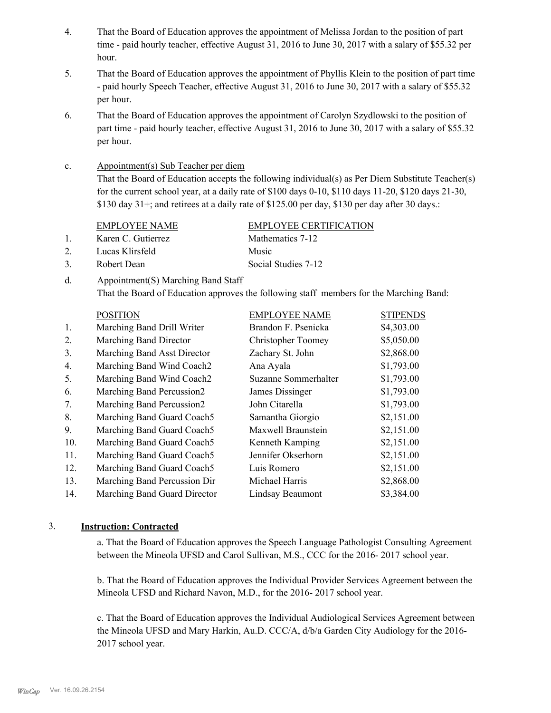- That the Board of Education approves the appointment of Melissa Jordan to the position of part time - paid hourly teacher, effective August 31, 2016 to June 30, 2017 with a salary of \$55.32 per hour. 4.
- That the Board of Education approves the appointment of Phyllis Klein to the position of part time - paid hourly Speech Teacher, effective August 31, 2016 to June 30, 2017 with a salary of \$55.32 per hour. 5.
- That the Board of Education approves the appointment of Carolyn Szydlowski to the position of part time - paid hourly teacher, effective August 31, 2016 to June 30, 2017 with a salary of \$55.32 per hour. 6.

#### Appointment(s) Sub Teacher per diem c.

That the Board of Education accepts the following individual(s) as Per Diem Substitute Teacher(s) for the current school year, at a daily rate of  $$100$  days  $0-10$ ,  $$110$  days  $11-20$ ,  $$120$  days  $21-30$ , \$130 day  $31+$ ; and retirees at a daily rate of \$125.00 per day, \$130 per day after 30 days.:

#### EMPLOYEE NAME EMPLOYEE CERTIFICATION

1. Karen C. Gutierrez Mathematics 7-12

- 
- 2. Lucas Klirsfeld Music
- 3. Robert Dean Social Studies 7-12

Appointment(S) Marching Band Staff That the Board of Education approves the following staff members for the Marching Band: d.

|     | <b>POSITION</b>              | <b>EMPLOYEE NAME</b>      | <b>STIPENDS</b> |
|-----|------------------------------|---------------------------|-----------------|
| 1.  | Marching Band Drill Writer   | Brandon F. Psenicka       | \$4,303.00      |
| 2.  | Marching Band Director       | <b>Christopher Toomey</b> | \$5,050.00      |
| 3.  | Marching Band Asst Director  | Zachary St. John          | \$2,868.00      |
| 4.  | Marching Band Wind Coach2    | Ana Ayala                 | \$1,793.00      |
| 5.  | Marching Band Wind Coach2    | Suzanne Sommerhalter      | \$1,793.00      |
| 6.  | Marching Band Percussion2    | James Dissinger           | \$1,793.00      |
| 7.  | Marching Band Percussion2    | John Citarella            | \$1,793.00      |
| 8.  | Marching Band Guard Coach5   | Samantha Giorgio          | \$2,151.00      |
| 9.  | Marching Band Guard Coach5   | Maxwell Braunstein        | \$2,151.00      |
| 10. | Marching Band Guard Coach5   | Kenneth Kamping           | \$2,151.00      |
| 11. | Marching Band Guard Coach5   | Jennifer Okserhorn        | \$2,151.00      |
| 12. | Marching Band Guard Coach5   | Luis Romero               | \$2,151.00      |
| 13. | Marching Band Percussion Dir | Michael Harris            | \$2,868.00      |
| 14. | Marching Band Guard Director | Lindsay Beaumont          | \$3,384.00      |

# 3. **Instruction: Contracted**

a. That the Board of Education approves the Speech Language Pathologist Consulting Agreement between the Mineola UFSD and Carol Sullivan, M.S., CCC for the 2016- 2017 school year.

b. That the Board of Education approves the Individual Provider Services Agreement between the Mineola UFSD and Richard Navon, M.D., for the 2016- 2017 school year.

c. That the Board of Education approves the Individual Audiological Services Agreement between the Mineola UFSD and Mary Harkin, Au.D. CCC/A, d/b/a Garden City Audiology for the 2016- 2017 school year.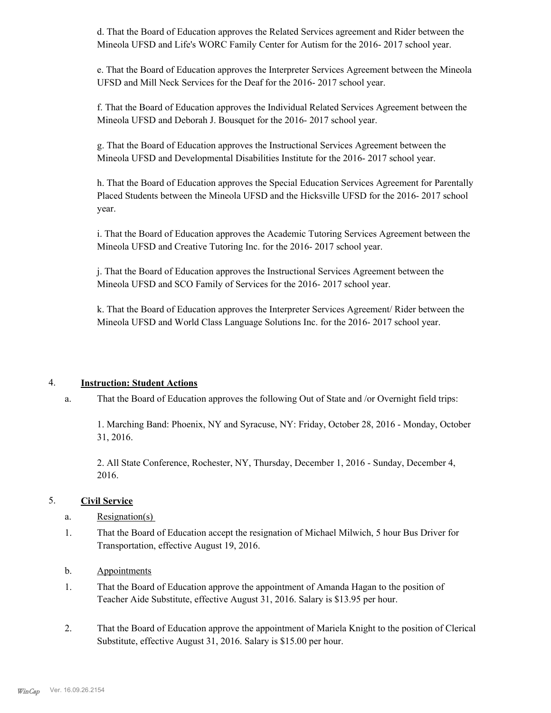d. That the Board of Education approves the Related Services agreement and Rider between the Mineola UFSD and Life's WORC Family Center for Autism for the 2016- 2017 school year.

e. That the Board of Education approves the Interpreter Services Agreement between the Mineola UFSD and Mill Neck Services for the Deaf for the 2016- 2017 school year.

f. That the Board of Education approves the Individual Related Services Agreement between the Mineola UFSD and Deborah J. Bousquet for the 2016- 2017 school year.

g. That the Board of Education approves the Instructional Services Agreement between the Mineola UFSD and Developmental Disabilities Institute for the 2016- 2017 school year.

h. That the Board of Education approves the Special Education Services Agreement for Parentally Placed Students between the Mineola UFSD and the Hicksville UFSD for the 2016- 2017 school year.

i. That the Board of Education approves the Academic Tutoring Services Agreement between the Mineola UFSD and Creative Tutoring Inc. for the 2016- 2017 school year.

j. That the Board of Education approves the Instructional Services Agreement between the Mineola UFSD and SCO Family of Services for the 2016- 2017 school year.

k. That the Board of Education approves the Interpreter Services Agreement/ Rider between the Mineola UFSD and World Class Language Solutions Inc. for the 2016- 2017 school year.

# 4. **Instruction: Student Actions**

That the Board of Education approves the following Out of State and /or Overnight field trips: a.

1. Marching Band: Phoenix, NY and Syracuse, NY: Friday, October 28, 2016 - Monday, October 31, 2016.

2. All State Conference, Rochester, NY, Thursday, December 1, 2016 - Sunday, December 4, 2016.

# 5. **Civil Service**

# a. Resignation(s)

That the Board of Education accept the resignation of Michael Milwich, 5 hour Bus Driver for Transportation, effective August 19, 2016. 1.

# b. Appointments

- That the Board of Education approve the appointment of Amanda Hagan to the position of Teacher Aide Substitute, effective August 31, 2016. Salary is \$13.95 per hour. 1.
- That the Board of Education approve the appointment of Mariela Knight to the position of Clerical Substitute, effective August 31, 2016. Salary is \$15.00 per hour. 2.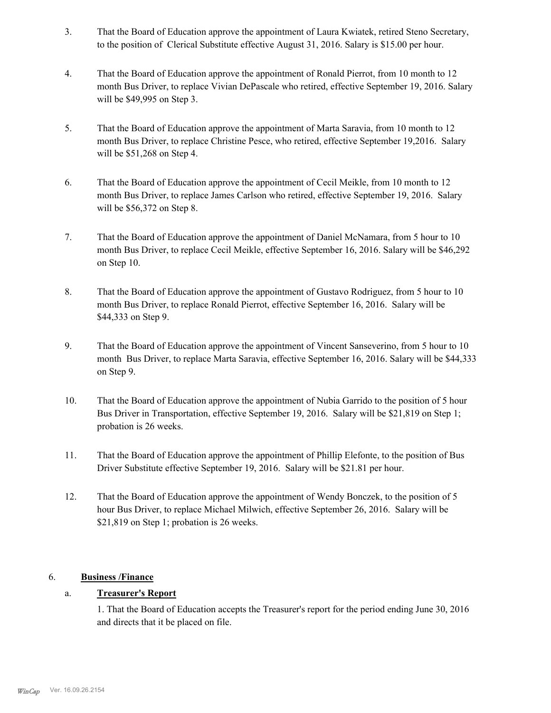- That the Board of Education approve the appointment of Laura Kwiatek, retired Steno Secretary, to the position of Clerical Substitute effective August 31, 2016. Salary is \$15.00 per hour. 3.
- That the Board of Education approve the appointment of Ronald Pierrot, from 10 month to 12 month Bus Driver, to replace Vivian DePascale who retired, effective September 19, 2016. Salary will be \$49,995 on Step 3. 4.
- That the Board of Education approve the appointment of Marta Saravia, from 10 month to 12 month Bus Driver, to replace Christine Pesce, who retired, effective September 19,2016. Salary will be \$51,268 on Step 4. 5.
- That the Board of Education approve the appointment of Cecil Meikle, from 10 month to 12 month Bus Driver, to replace James Carlson who retired, effective September 19, 2016. Salary will be \$56,372 on Step 8. 6.
- That the Board of Education approve the appointment of Daniel McNamara, from 5 hour to 10 month Bus Driver, to replace Cecil Meikle, effective September 16, 2016. Salary will be \$46,292 on Step 10. 7.
- That the Board of Education approve the appointment of Gustavo Rodriguez, from 5 hour to 10 month Bus Driver, to replace Ronald Pierrot, effective September 16, 2016. Salary will be \$44,333 on Step 9. 8.
- That the Board of Education approve the appointment of Vincent Sanseverino, from 5 hour to 10 month Bus Driver, to replace Marta Saravia, effective September 16, 2016. Salary will be \$44,333 on Step 9. 9.
- That the Board of Education approve the appointment of Nubia Garrido to the position of 5 hour Bus Driver in Transportation, effective September 19, 2016. Salary will be \$21,819 on Step 1; probation is 26 weeks. 10.
- That the Board of Education approve the appointment of Phillip Elefonte, to the position of Bus Driver Substitute effective September 19, 2016. Salary will be \$21.81 per hour. 11.
- That the Board of Education approve the appointment of Wendy Bonczek, to the position of 5 hour Bus Driver, to replace Michael Milwich, effective September 26, 2016. Salary will be \$21,819 on Step 1; probation is 26 weeks. 12.

# 6. **Business /Finance**

# a. **Treasurer's Report**

1. That the Board of Education accepts the Treasurer's report for the period ending June 30, 2016 and directs that it be placed on file.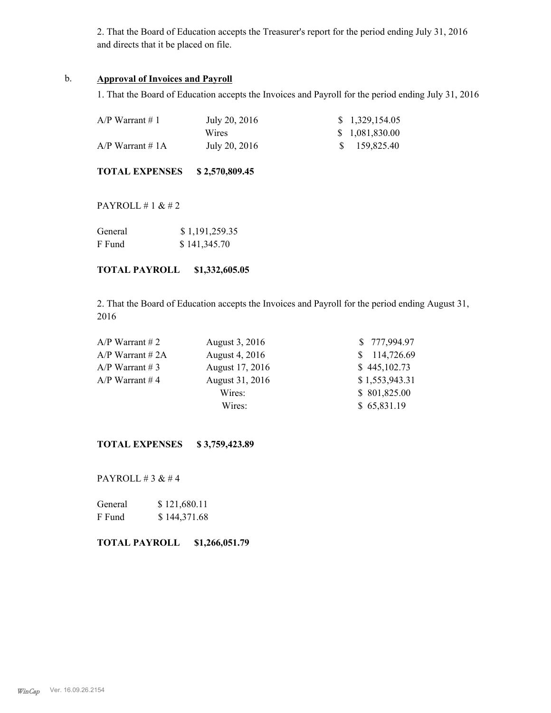2. That the Board of Education accepts the Treasurer's report for the period ending July 31, 2016 and directs that it be placed on file.

### b. **Approval of Invoices and Payroll**

1. That the Board of Education accepts the Invoices and Payroll for the period ending July 31, 2016

| $A/P$ Warrant # 1  | July 20, 2016 | \$1,329,154.05  |
|--------------------|---------------|-----------------|
|                    | Wires         | \$ 1,081,830.00 |
| $A/P$ Warrant # 1A | July 20, 2016 | \$159,825.40    |

**TOTAL EXPENSES \$ 2,570,809.45**

PAYROLL # 1 & # 2

| General | \$1,191,259.35 |
|---------|----------------|
| F Fund  | \$141,345.70   |

**TOTAL PAYROLL \$1,332,605.05**

2. That the Board of Education accepts the Invoices and Payroll for the period ending August 31, 2016

| $A/P$ Warrant # 2  | August 3, 2016  | \$777,994.97   |
|--------------------|-----------------|----------------|
| $A/P$ Warrant # 2A | August 4, 2016  | \$114,726.69   |
| $A/P$ Warrant # 3  | August 17, 2016 | \$445,102.73   |
| $A/P$ Warrant #4   | August 31, 2016 | \$1,553,943.31 |
|                    | Wires:          | \$801,825.00   |
|                    | Wires:          | \$65,831.19    |

**TOTAL EXPENSES \$ 3,759,423.89**

PAYROLL # 3 & # 4

| General | \$121,680.11 |
|---------|--------------|
| F Fund  | \$144,371.68 |

### **TOTAL PAYROLL \$1,266,051.79**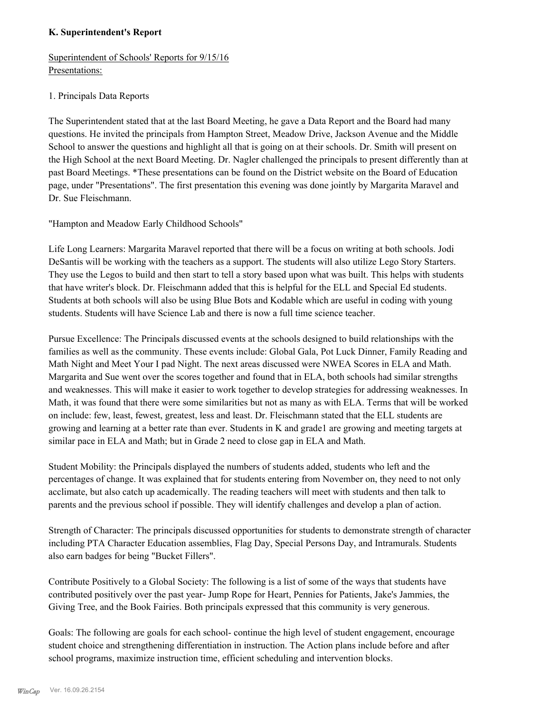# **K. Superintendent's Report**

Superintendent of Schools' Reports for 9/15/16 Presentations:

# 1. Principals Data Reports

The Superintendent stated that at the last Board Meeting, he gave a Data Report and the Board had many questions. He invited the principals from Hampton Street, Meadow Drive, Jackson Avenue and the Middle School to answer the questions and highlight all that is going on at their schools. Dr. Smith will present on the High School at the next Board Meeting. Dr. Nagler challenged the principals to present differently than at past Board Meetings. \*These presentations can be found on the District website on the Board of Education page, under "Presentations". The first presentation this evening was done jointly by Margarita Maravel and Dr. Sue Fleischmann.

"Hampton and Meadow Early Childhood Schools"

Life Long Learners: Margarita Maravel reported that there will be a focus on writing at both schools. Jodi DeSantis will be working with the teachers as a support. The students will also utilize Lego Story Starters. They use the Legos to build and then start to tell a story based upon what was built. This helps with students that have writer's block. Dr. Fleischmann added that this is helpful for the ELL and Special Ed students. Students at both schools will also be using Blue Bots and Kodable which are useful in coding with young students. Students will have Science Lab and there is now a full time science teacher.

Pursue Excellence: The Principals discussed events at the schools designed to build relationships with the families as well as the community. These events include: Global Gala, Pot Luck Dinner, Family Reading and Math Night and Meet Your I pad Night. The next areas discussed were NWEA Scores in ELA and Math. Margarita and Sue went over the scores together and found that in ELA, both schools had similar strengths and weaknesses. This will make it easier to work together to develop strategies for addressing weaknesses. In Math, it was found that there were some similarities but not as many as with ELA. Terms that will be worked on include: few, least, fewest, greatest, less and least. Dr. Fleischmann stated that the ELL students are growing and learning at a better rate than ever. Students in K and grade1 are growing and meeting targets at similar pace in ELA and Math; but in Grade 2 need to close gap in ELA and Math.

Student Mobility: the Principals displayed the numbers of students added, students who left and the percentages of change. It was explained that for students entering from November on, they need to not only acclimate, but also catch up academically. The reading teachers will meet with students and then talk to parents and the previous school if possible. They will identify challenges and develop a plan of action.

Strength of Character: The principals discussed opportunities for students to demonstrate strength of character including PTA Character Education assemblies, Flag Day, Special Persons Day, and Intramurals. Students also earn badges for being "Bucket Fillers".

Contribute Positively to a Global Society: The following is a list of some of the ways that students have contributed positively over the past year- Jump Rope for Heart, Pennies for Patients, Jake's Jammies, the Giving Tree, and the Book Fairies. Both principals expressed that this community is very generous.

Goals: The following are goals for each school- continue the high level of student engagement, encourage student choice and strengthening differentiation in instruction. The Action plans include before and after school programs, maximize instruction time, efficient scheduling and intervention blocks.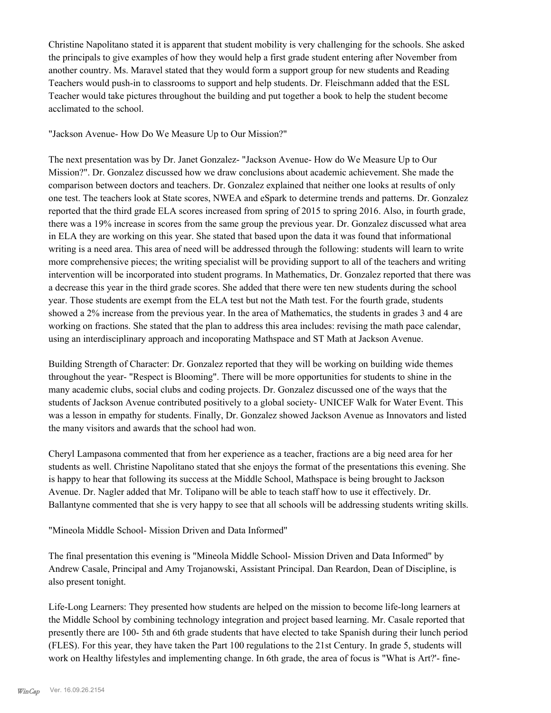Christine Napolitano stated it is apparent that student mobility is very challenging for the schools. She asked the principals to give examples of how they would help a first grade student entering after November from another country. Ms. Maravel stated that they would form a support group for new students and Reading Teachers would push-in to classrooms to support and help students. Dr. Fleischmann added that the ESL Teacher would take pictures throughout the building and put together a book to help the student become acclimated to the school.

"Jackson Avenue- How Do We Measure Up to Our Mission?"

The next presentation was by Dr. Janet Gonzalez- "Jackson Avenue- How do We Measure Up to Our Mission?". Dr. Gonzalez discussed how we draw conclusions about academic achievement. She made the comparison between doctors and teachers. Dr. Gonzalez explained that neither one looks at results of only one test. The teachers look at State scores, NWEA and eSpark to determine trends and patterns. Dr. Gonzalez reported that the third grade ELA scores increased from spring of 2015 to spring 2016. Also, in fourth grade, there was a 19% increase in scores from the same group the previous year. Dr. Gonzalez discussed what area in ELA they are working on this year. She stated that based upon the data it was found that informational writing is a need area. This area of need will be addressed through the following: students will learn to write more comprehensive pieces; the writing specialist will be providing support to all of the teachers and writing intervention will be incorporated into student programs. In Mathematics, Dr. Gonzalez reported that there was a decrease this year in the third grade scores. She added that there were ten new students during the school year. Those students are exempt from the ELA test but not the Math test. For the fourth grade, students showed a 2% increase from the previous year. In the area of Mathematics, the students in grades 3 and 4 are working on fractions. She stated that the plan to address this area includes: revising the math pace calendar, using an interdisciplinary approach and incoporating Mathspace and ST Math at Jackson Avenue.

Building Strength of Character: Dr. Gonzalez reported that they will be working on building wide themes throughout the year- "Respect is Blooming". There will be more opportunities for students to shine in the many academic clubs, social clubs and coding projects. Dr. Gonzalez discussed one of the ways that the students of Jackson Avenue contributed positively to a global society- UNICEF Walk for Water Event. This was a lesson in empathy for students. Finally, Dr. Gonzalez showed Jackson Avenue as Innovators and listed the many visitors and awards that the school had won.

Cheryl Lampasona commented that from her experience as a teacher, fractions are a big need area for her students as well. Christine Napolitano stated that she enjoys the format of the presentations this evening. She is happy to hear that following its success at the Middle School, Mathspace is being brought to Jackson Avenue. Dr. Nagler added that Mr. Tolipano will be able to teach staff how to use it effectively. Dr. Ballantyne commented that she is very happy to see that all schools will be addressing students writing skills.

"Mineola Middle School- Mission Driven and Data Informed"

The final presentation this evening is "Mineola Middle School- Mission Driven and Data Informed" by Andrew Casale, Principal and Amy Trojanowski, Assistant Principal. Dan Reardon, Dean of Discipline, is also present tonight.

Life-Long Learners: They presented how students are helped on the mission to become life-long learners at the Middle School by combining technology integration and project based learning. Mr. Casale reported that presently there are 100- 5th and 6th grade students that have elected to take Spanish during their lunch period (FLES). For this year, they have taken the Part 100 regulations to the 21st Century. In grade 5, students will work on Healthy lifestyles and implementing change. In 6th grade, the area of focus is "What is Art?'- fine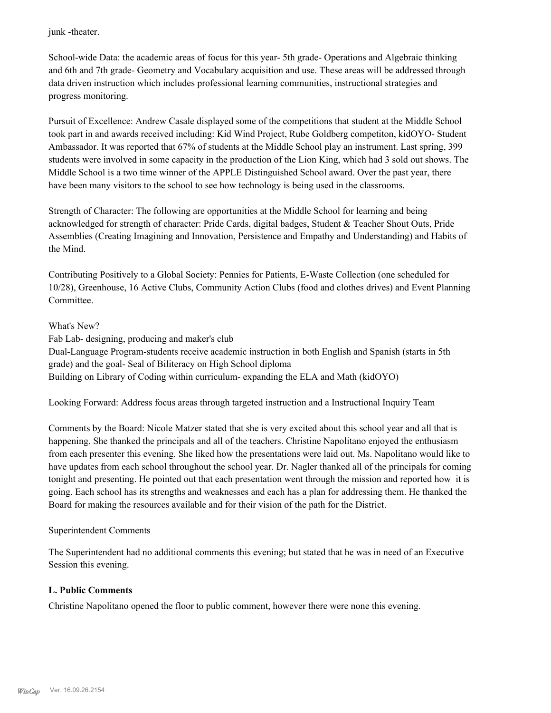junk -theater.

School-wide Data: the academic areas of focus for this year- 5th grade- Operations and Algebraic thinking and 6th and 7th grade- Geometry and Vocabulary acquisition and use. These areas will be addressed through data driven instruction which includes professional learning communities, instructional strategies and progress monitoring.

Pursuit of Excellence: Andrew Casale displayed some of the competitions that student at the Middle School took part in and awards received including: Kid Wind Project, Rube Goldberg competiton, kidOYO- Student Ambassador. It was reported that 67% of students at the Middle School play an instrument. Last spring, 399 students were involved in some capacity in the production of the Lion King, which had 3 sold out shows. The Middle School is a two time winner of the APPLE Distinguished School award. Over the past year, there have been many visitors to the school to see how technology is being used in the classrooms.

Strength of Character: The following are opportunities at the Middle School for learning and being acknowledged for strength of character: Pride Cards, digital badges, Student & Teacher Shout Outs, Pride Assemblies (Creating Imagining and Innovation, Persistence and Empathy and Understanding) and Habits of the Mind.

Contributing Positively to a Global Society: Pennies for Patients, E-Waste Collection (one scheduled for 10/28), Greenhouse, 16 Active Clubs, Community Action Clubs (food and clothes drives) and Event Planning Committee.

# What's New?

Fab Lab- designing, producing and maker's club Dual-Language Program-students receive academic instruction in both English and Spanish (starts in 5th grade) and the goal- Seal of Biliteracy on High School diploma Building on Library of Coding within curriculum- expanding the ELA and Math (kidOYO)

Looking Forward: Address focus areas through targeted instruction and a Instructional Inquiry Team

Comments by the Board: Nicole Matzer stated that she is very excited about this school year and all that is happening. She thanked the principals and all of the teachers. Christine Napolitano enjoyed the enthusiasm from each presenter this evening. She liked how the presentations were laid out. Ms. Napolitano would like to have updates from each school throughout the school year. Dr. Nagler thanked all of the principals for coming tonight and presenting. He pointed out that each presentation went through the mission and reported how it is going. Each school has its strengths and weaknesses and each has a plan for addressing them. He thanked the Board for making the resources available and for their vision of the path for the District.

# Superintendent Comments

The Superintendent had no additional comments this evening; but stated that he was in need of an Executive Session this evening.

# **L. Public Comments**

Christine Napolitano opened the floor to public comment, however there were none this evening.